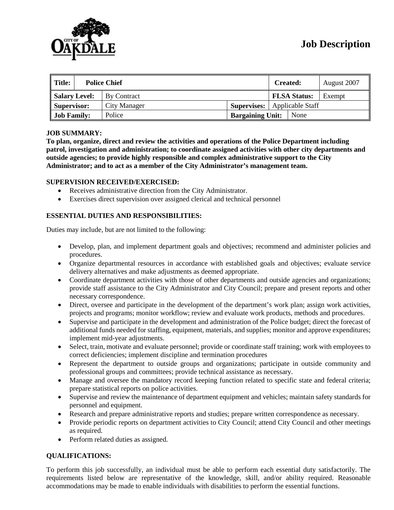

| ll Title:            | <b>Police Chief</b> |                         | <b>Created:</b>     | August 2007 |
|----------------------|---------------------|-------------------------|---------------------|-------------|
| <b>Salary Level:</b> | By Contract         |                         | <b>FLSA Status:</b> | Exempt      |
| Supervisor:          | City Manager        | <b>Supervises:</b>      | Applicable Staff    |             |
| <b>Job Family:</b>   | Police              | <b>Bargaining Unit:</b> | None                |             |

#### **JOB SUMMARY:**

**To plan, organize, direct and review the activities and operations of the Police Department including patrol, investigation and administration; to coordinate assigned activities with other city departments and outside agencies; to provide highly responsible and complex administrative support to the City Administrator; and to act as a member of the City Administrator's management team.**

#### **SUPERVISION RECEIVED/EXERCISED:**

- Receives administrative direction from the City Administrator.
- Exercises direct supervision over assigned clerical and technical personnel

## **ESSENTIAL DUTIES AND RESPONSIBILITIES:**

Duties may include, but are not limited to the following:

- Develop, plan, and implement department goals and objectives; recommend and administer policies and procedures.
- Organize departmental resources in accordance with established goals and objectives; evaluate service delivery alternatives and make adjustments as deemed appropriate.
- Coordinate department activities with those of other departments and outside agencies and organizations; provide staff assistance to the City Administrator and City Council; prepare and present reports and other necessary correspondence.
- Direct, oversee and participate in the development of the department's work plan; assign work activities, projects and programs; monitor workflow; review and evaluate work products, methods and procedures.
- Supervise and participate in the development and administration of the Police budget; direct the forecast of additional funds needed for staffing, equipment, materials, and supplies; monitor and approve expenditures; implement mid-year adjustments.
- Select, train, motivate and evaluate personnel; provide or coordinate staff training; work with employees to correct deficiencies; implement discipline and termination procedures
- Represent the department to outside groups and organizations; participate in outside community and professional groups and committees; provide technical assistance as necessary.
- Manage and oversee the mandatory record keeping function related to specific state and federal criteria; prepare statistical reports on police activities.
- Supervise and review the maintenance of department equipment and vehicles; maintain safety standards for personnel and equipment.
- Research and prepare administrative reports and studies; prepare written correspondence as necessary.
- Provide periodic reports on department activities to City Council; attend City Council and other meetings as required.
- Perform related duties as assigned.

## **QUALIFICATIONS:**

To perform this job successfully, an individual must be able to perform each essential duty satisfactorily. The requirements listed below are representative of the knowledge, skill, and/or ability required. Reasonable accommodations may be made to enable individuals with disabilities to perform the essential functions.